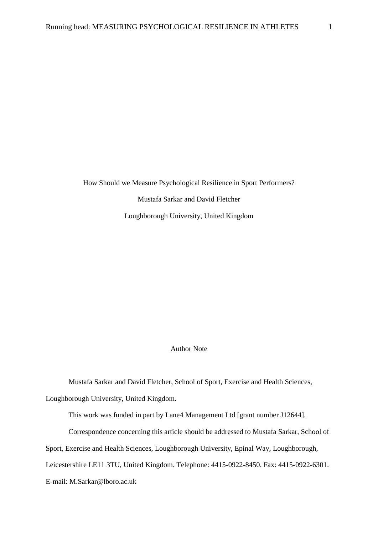How Should we Measure Psychological Resilience in Sport Performers?

Mustafa Sarkar and David Fletcher

Loughborough University, United Kingdom

# Author Note

Mustafa Sarkar and David Fletcher, School of Sport, Exercise and Health Sciences, Loughborough University, United Kingdom.

This work was funded in part by Lane4 Management Ltd [grant number J12644].

Correspondence concerning this article should be addressed to Mustafa Sarkar, School of Sport, Exercise and Health Sciences, Loughborough University, Epinal Way, Loughborough, Leicestershire LE11 3TU, United Kingdom. Telephone: 4415-0922-8450. Fax: 4415-0922-6301. E-mail: M.Sarkar@lboro.ac.uk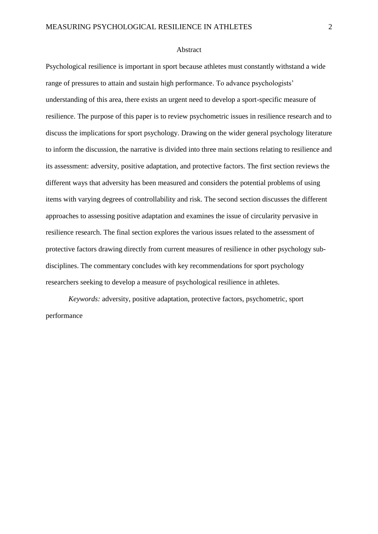#### Abstract

Psychological resilience is important in sport because athletes must constantly withstand a wide range of pressures to attain and sustain high performance. To advance psychologists' understanding of this area, there exists an urgent need to develop a sport-specific measure of resilience. The purpose of this paper is to review psychometric issues in resilience research and to discuss the implications for sport psychology. Drawing on the wider general psychology literature to inform the discussion, the narrative is divided into three main sections relating to resilience and its assessment: adversity, positive adaptation, and protective factors. The first section reviews the different ways that adversity has been measured and considers the potential problems of using items with varying degrees of controllability and risk. The second section discusses the different approaches to assessing positive adaptation and examines the issue of circularity pervasive in resilience research. The final section explores the various issues related to the assessment of protective factors drawing directly from current measures of resilience in other psychology subdisciplines. The commentary concludes with key recommendations for sport psychology researchers seeking to develop a measure of psychological resilience in athletes.

*Keywords:* adversity, positive adaptation, protective factors, psychometric, sport performance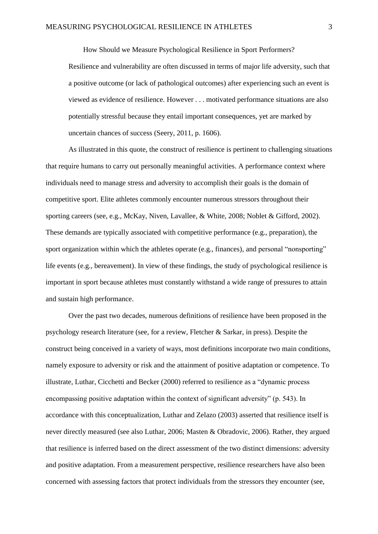How Should we Measure Psychological Resilience in Sport Performers? Resilience and vulnerability are often discussed in terms of major life adversity, such that a positive outcome (or lack of pathological outcomes) after experiencing such an event is viewed as evidence of resilience. However . . . motivated performance situations are also potentially stressful because they entail important consequences, yet are marked by uncertain chances of success (Seery, 2011, p. 1606).

As illustrated in this quote, the construct of resilience is pertinent to challenging situations that require humans to carry out personally meaningful activities. A performance context where individuals need to manage stress and adversity to accomplish their goals is the domain of competitive sport. Elite athletes commonly encounter numerous stressors throughout their sporting careers (see, e.g., McKay, Niven, Lavallee, & White, 2008; Noblet & Gifford, 2002). These demands are typically associated with competitive performance (e.g., preparation), the sport organization within which the athletes operate (e.g., finances), and personal "nonsporting" life events (e.g., bereavement). In view of these findings, the study of psychological resilience is important in sport because athletes must constantly withstand a wide range of pressures to attain and sustain high performance.

Over the past two decades, numerous definitions of resilience have been proposed in the psychology research literature (see, for a review, Fletcher & Sarkar, in press). Despite the construct being conceived in a variety of ways, most definitions incorporate two main conditions, namely exposure to adversity or risk and the attainment of positive adaptation or competence. To illustrate, Luthar, Cicchetti and Becker (2000) referred to resilience as a "dynamic process encompassing positive adaptation within the context of significant adversity" (p. 543). In accordance with this conceptualization, Luthar and Zelazo (2003) asserted that resilience itself is never directly measured (see also Luthar, 2006; Masten & Obradovic, 2006). Rather, they argued that resilience is inferred based on the direct assessment of the two distinct dimensions: adversity and positive adaptation. From a measurement perspective, resilience researchers have also been concerned with assessing factors that protect individuals from the stressors they encounter (see,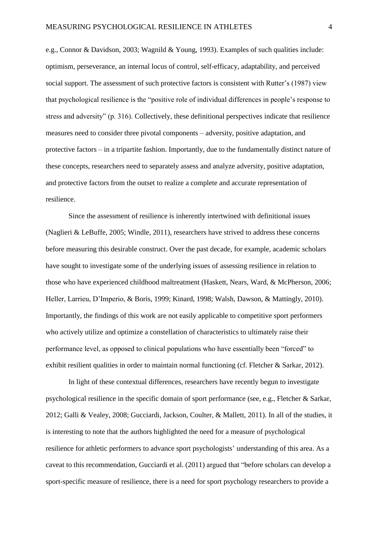e.g., Connor & Davidson, 2003; Wagnild & Young, 1993). Examples of such qualities include: optimism, perseverance, an internal locus of control, self-efficacy, adaptability, and perceived social support. The assessment of such protective factors is consistent with Rutter's (1987) view that psychological resilience is the "positive role of individual differences in people's response to stress and adversity" (p. 316). Collectively, these definitional perspectives indicate that resilience measures need to consider three pivotal components – adversity, positive adaptation, and protective factors – in a tripartite fashion. Importantly, due to the fundamentally distinct nature of these concepts, researchers need to separately assess and analyze adversity, positive adaptation, and protective factors from the outset to realize a complete and accurate representation of resilience.

Since the assessment of resilience is inherently intertwined with definitional issues (Naglieri & LeBuffe, 2005; Windle, 2011), researchers have strived to address these concerns before measuring this desirable construct. Over the past decade, for example, academic scholars have sought to investigate some of the underlying issues of assessing resilience in relation to those who have experienced childhood maltreatment (Haskett, Nears, Ward, & McPherson, 2006; Heller, Larrieu, D'Imperio, & Boris, 1999; Kinard, 1998; Walsh, Dawson, & Mattingly, 2010). Importantly, the findings of this work are not easily applicable to competitive sport performers who actively utilize and optimize a constellation of characteristics to ultimately raise their performance level, as opposed to clinical populations who have essentially been "forced" to exhibit resilient qualities in order to maintain normal functioning (cf. Fletcher & Sarkar, 2012).

In light of these contextual differences, researchers have recently begun to investigate psychological resilience in the specific domain of sport performance (see, e.g., Fletcher & Sarkar, 2012; Galli & Vealey, 2008; Gucciardi, Jackson, Coulter, & Mallett, 2011). In all of the studies, it is interesting to note that the authors highlighted the need for a measure of psychological resilience for athletic performers to advance sport psychologists' understanding of this area. As a caveat to this recommendation, Gucciardi et al. (2011) argued that "before scholars can develop a sport-specific measure of resilience, there is a need for sport psychology researchers to provide a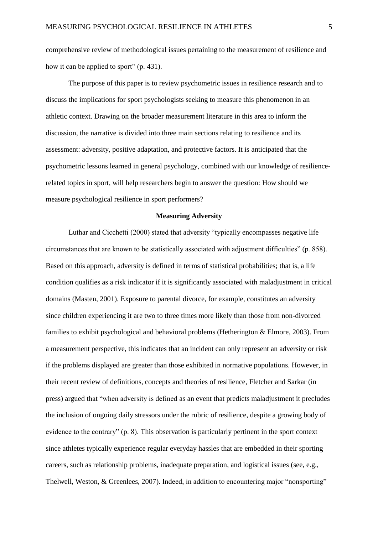comprehensive review of methodological issues pertaining to the measurement of resilience and how it can be applied to sport" (p. 431).

The purpose of this paper is to review psychometric issues in resilience research and to discuss the implications for sport psychologists seeking to measure this phenomenon in an athletic context. Drawing on the broader measurement literature in this area to inform the discussion, the narrative is divided into three main sections relating to resilience and its assessment: adversity, positive adaptation, and protective factors. It is anticipated that the psychometric lessons learned in general psychology, combined with our knowledge of resiliencerelated topics in sport, will help researchers begin to answer the question: How should we measure psychological resilience in sport performers?

### **Measuring Adversity**

Luthar and Cicchetti (2000) stated that adversity "typically encompasses negative life circumstances that are known to be statistically associated with adjustment difficulties" (p. 858). Based on this approach, adversity is defined in terms of statistical probabilities; that is, a life condition qualifies as a risk indicator if it is significantly associated with maladjustment in critical domains (Masten, 2001). Exposure to parental divorce, for example, constitutes an adversity since children experiencing it are two to three times more likely than those from non-divorced families to exhibit psychological and behavioral problems (Hetherington & Elmore, 2003). From a measurement perspective, this indicates that an incident can only represent an adversity or risk if the problems displayed are greater than those exhibited in normative populations. However, in their recent review of definitions, concepts and theories of resilience, Fletcher and Sarkar (in press) argued that "when adversity is defined as an event that predicts maladjustment it precludes the inclusion of ongoing daily stressors under the rubric of resilience, despite a growing body of evidence to the contrary" (p. 8). This observation is particularly pertinent in the sport context since athletes typically experience regular everyday hassles that are embedded in their sporting careers, such as relationship problems, inadequate preparation, and logistical issues (see, e.g., Thelwell, Weston, & Greenlees, 2007). Indeed, in addition to encountering major "nonsporting"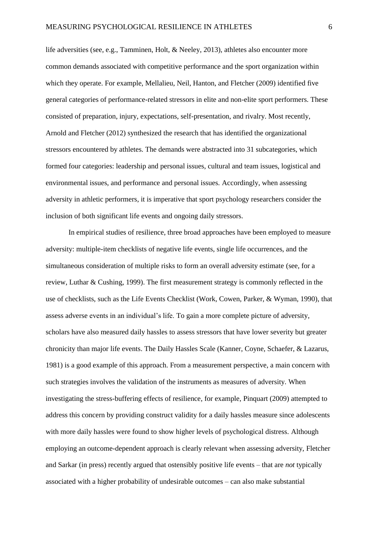life adversities (see, e.g., Tamminen, Holt, & Neeley, 2013), athletes also encounter more common demands associated with competitive performance and the sport organization within which they operate. For example, Mellalieu, Neil, Hanton, and Fletcher (2009) identified five general categories of performance-related stressors in elite and non-elite sport performers. These consisted of preparation, injury, expectations, self-presentation, and rivalry. Most recently, Arnold and Fletcher (2012) synthesized the research that has identified the organizational stressors encountered by athletes. The demands were abstracted into 31 subcategories, which formed four categories: leadership and personal issues, cultural and team issues, logistical and environmental issues, and performance and personal issues. Accordingly, when assessing adversity in athletic performers, it is imperative that sport psychology researchers consider the inclusion of both significant life events and ongoing daily stressors.

In empirical studies of resilience, three broad approaches have been employed to measure adversity: multiple-item checklists of negative life events, single life occurrences, and the simultaneous consideration of multiple risks to form an overall adversity estimate (see, for a review, Luthar & Cushing, 1999). The first measurement strategy is commonly reflected in the use of checklists, such as the Life Events Checklist (Work, Cowen, Parker, & Wyman, 1990), that assess adverse events in an individual's life. To gain a more complete picture of adversity, scholars have also measured daily hassles to assess stressors that have lower severity but greater chronicity than major life events. The Daily Hassles Scale (Kanner, Coyne, Schaefer, & Lazarus, 1981) is a good example of this approach. From a measurement perspective, a main concern with such strategies involves the validation of the instruments as measures of adversity. When investigating the stress-buffering effects of resilience, for example, Pinquart (2009) attempted to address this concern by providing construct validity for a daily hassles measure since adolescents with more daily hassles were found to show higher levels of psychological distress. Although employing an outcome-dependent approach is clearly relevant when assessing adversity, Fletcher and Sarkar (in press) recently argued that ostensibly positive life events – that are *not* typically associated with a higher probability of undesirable outcomes – can also make substantial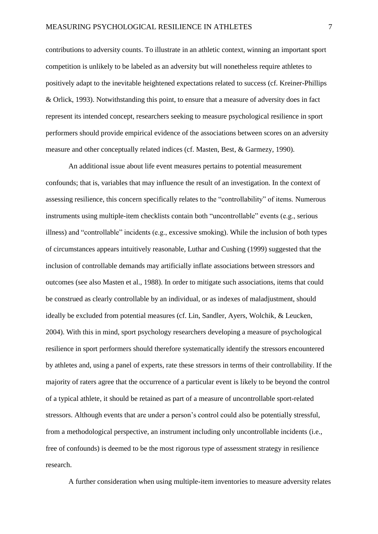contributions to adversity counts. To illustrate in an athletic context, winning an important sport competition is unlikely to be labeled as an adversity but will nonetheless require athletes to positively adapt to the inevitable heightened expectations related to success (cf. Kreiner-Phillips & Orlick, 1993). Notwithstanding this point, to ensure that a measure of adversity does in fact represent its intended concept, researchers seeking to measure psychological resilience in sport performers should provide empirical evidence of the associations between scores on an adversity measure and other conceptually related indices (cf. Masten, Best, & Garmezy, 1990).

An additional issue about life event measures pertains to potential measurement confounds; that is, variables that may influence the result of an investigation. In the context of assessing resilience, this concern specifically relates to the "controllability" of items. Numerous instruments using multiple-item checklists contain both "uncontrollable" events (e.g., serious illness) and "controllable" incidents (e.g., excessive smoking). While the inclusion of both types of circumstances appears intuitively reasonable, Luthar and Cushing (1999) suggested that the inclusion of controllable demands may artificially inflate associations between stressors and outcomes (see also Masten et al., 1988). In order to mitigate such associations, items that could be construed as clearly controllable by an individual, or as indexes of maladjustment, should ideally be excluded from potential measures (cf. Lin, Sandler, Ayers, Wolchik, & Leucken, 2004). With this in mind, sport psychology researchers developing a measure of psychological resilience in sport performers should therefore systematically identify the stressors encountered by athletes and, using a panel of experts, rate these stressors in terms of their controllability. If the majority of raters agree that the occurrence of a particular event is likely to be beyond the control of a typical athlete, it should be retained as part of a measure of uncontrollable sport-related stressors. Although events that are under a person's control could also be potentially stressful, from a methodological perspective, an instrument including only uncontrollable incidents (i.e., free of confounds) is deemed to be the most rigorous type of assessment strategy in resilience research.

A further consideration when using multiple-item inventories to measure adversity relates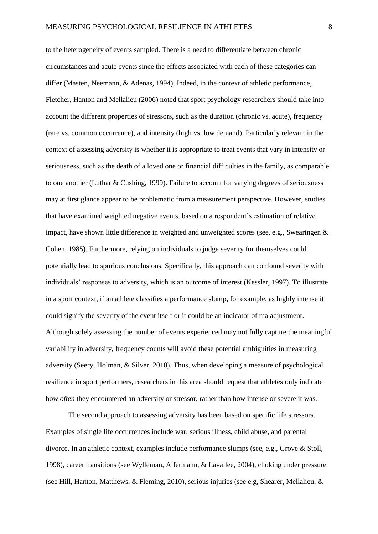to the heterogeneity of events sampled. There is a need to differentiate between chronic circumstances and acute events since the effects associated with each of these categories can differ (Masten, Neemann, & Adenas, 1994). Indeed, in the context of athletic performance, Fletcher, Hanton and Mellalieu (2006) noted that sport psychology researchers should take into account the different properties of stressors, such as the duration (chronic vs. acute), frequency (rare vs. common occurrence), and intensity (high vs. low demand). Particularly relevant in the context of assessing adversity is whether it is appropriate to treat events that vary in intensity or seriousness, such as the death of a loved one or financial difficulties in the family, as comparable to one another (Luthar & Cushing, 1999). Failure to account for varying degrees of seriousness may at first glance appear to be problematic from a measurement perspective. However, studies that have examined weighted negative events, based on a respondent's estimation of relative impact, have shown little difference in weighted and unweighted scores (see, e.g., Swearingen & Cohen, 1985). Furthermore, relying on individuals to judge severity for themselves could potentially lead to spurious conclusions. Specifically, this approach can confound severity with individuals' responses to adversity, which is an outcome of interest (Kessler, 1997). To illustrate in a sport context, if an athlete classifies a performance slump, for example, as highly intense it could signify the severity of the event itself or it could be an indicator of maladjustment. Although solely assessing the number of events experienced may not fully capture the meaningful variability in adversity, frequency counts will avoid these potential ambiguities in measuring adversity (Seery, Holman, & Silver, 2010). Thus, when developing a measure of psychological resilience in sport performers, researchers in this area should request that athletes only indicate how *often* they encountered an adversity or stressor, rather than how intense or severe it was.

The second approach to assessing adversity has been based on specific life stressors. Examples of single life occurrences include war, serious illness, child abuse, and parental divorce. In an athletic context, examples include performance slumps (see, e.g., Grove & Stoll, 1998), career transitions (see Wylleman, Alfermann, & Lavallee, 2004), choking under pressure (see Hill, Hanton, Matthews, & Fleming, 2010), serious injuries (see e.g, Shearer, Mellalieu, &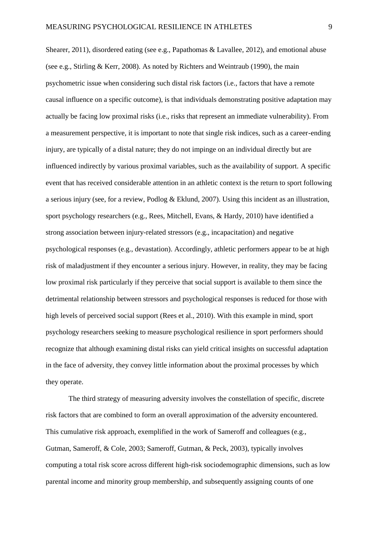Shearer, 2011), disordered eating (see e.g., Papathomas & Lavallee, 2012), and emotional abuse (see e.g., Stirling & Kerr, 2008). As noted by Richters and Weintraub (1990), the main psychometric issue when considering such distal risk factors (i.e., factors that have a remote causal influence on a specific outcome), is that individuals demonstrating positive adaptation may actually be facing low proximal risks (i.e., risks that represent an immediate vulnerability). From a measurement perspective, it is important to note that single risk indices, such as a career-ending injury, are typically of a distal nature; they do not impinge on an individual directly but are influenced indirectly by various proximal variables, such as the availability of support. A specific event that has received considerable attention in an athletic context is the return to sport following a serious injury (see, for a review, Podlog & Eklund, 2007). Using this incident as an illustration, sport psychology researchers (e.g., Rees, Mitchell, Evans, & Hardy, 2010) have identified a strong association between injury-related stressors (e.g., incapacitation) and negative psychological responses (e.g., devastation). Accordingly, athletic performers appear to be at high risk of maladjustment if they encounter a serious injury. However, in reality, they may be facing low proximal risk particularly if they perceive that social support is available to them since the detrimental relationship between stressors and psychological responses is reduced for those with high levels of perceived social support (Rees et al., 2010). With this example in mind, sport psychology researchers seeking to measure psychological resilience in sport performers should recognize that although examining distal risks can yield critical insights on successful adaptation in the face of adversity, they convey little information about the proximal processes by which they operate.

The third strategy of measuring adversity involves the constellation of specific, discrete risk factors that are combined to form an overall approximation of the adversity encountered. This cumulative risk approach, exemplified in the work of Sameroff and colleagues (e.g., Gutman, Sameroff, & Cole, 2003; Sameroff, Gutman, & Peck, 2003), typically involves computing a total risk score across different high-risk sociodemographic dimensions, such as low parental income and minority group membership, and subsequently assigning counts of one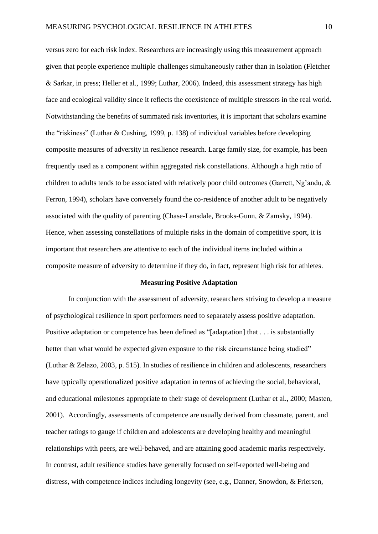versus zero for each risk index. Researchers are increasingly using this measurement approach given that people experience multiple challenges simultaneously rather than in isolation (Fletcher & Sarkar, in press; Heller et al., 1999; Luthar, 2006). Indeed, this assessment strategy has high face and ecological validity since it reflects the coexistence of multiple stressors in the real world. Notwithstanding the benefits of summated risk inventories, it is important that scholars examine the "riskiness" (Luthar & Cushing, 1999, p. 138) of individual variables before developing composite measures of adversity in resilience research. Large family size, for example, has been frequently used as a component within aggregated risk constellations. Although a high ratio of children to adults tends to be associated with relatively poor child outcomes (Garrett, Ng'andu, & Ferron, 1994), scholars have conversely found the co-residence of another adult to be negatively associated with the quality of parenting (Chase-Lansdale, Brooks-Gunn, & Zamsky, 1994). Hence, when assessing constellations of multiple risks in the domain of competitive sport, it is important that researchers are attentive to each of the individual items included within a composite measure of adversity to determine if they do, in fact, represent high risk for athletes.

## **Measuring Positive Adaptation**

In conjunction with the assessment of adversity, researchers striving to develop a measure of psychological resilience in sport performers need to separately assess positive adaptation. Positive adaptation or competence has been defined as "[adaptation] that . . . is substantially better than what would be expected given exposure to the risk circumstance being studied" (Luthar & Zelazo, 2003, p. 515). In studies of resilience in children and adolescents, researchers have typically operationalized positive adaptation in terms of achieving the social, behavioral, and educational milestones appropriate to their stage of development (Luthar et al., 2000; Masten, 2001). Accordingly, assessments of competence are usually derived from classmate, parent, and teacher ratings to gauge if children and adolescents are developing healthy and meaningful relationships with peers, are well-behaved, and are attaining good academic marks respectively. In contrast, adult resilience studies have generally focused on self-reported well-being and distress, with competence indices including longevity (see, e.g., Danner, Snowdon, & Friersen,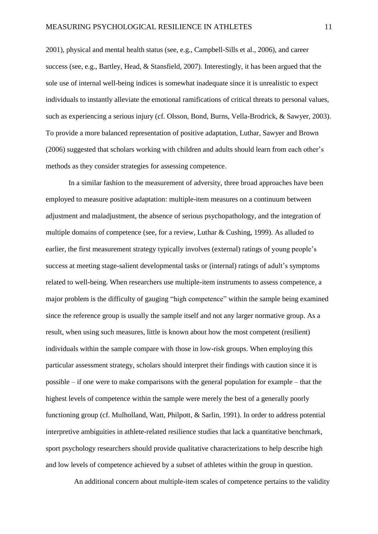2001), physical and mental health status (see, e.g., Campbell-Sills et al., 2006), and career success (see, e.g., Bartley, Head, & Stansfield, 2007). Interestingly, it has been argued that the sole use of internal well-being indices is somewhat inadequate since it is unrealistic to expect individuals to instantly alleviate the emotional ramifications of critical threats to personal values, such as experiencing a serious injury (cf. Olsson, Bond, Burns, Vella-Brodrick, & Sawyer, 2003). To provide a more balanced representation of positive adaptation, Luthar, Sawyer and Brown (2006) suggested that scholars working with children and adults should learn from each other's methods as they consider strategies for assessing competence.

In a similar fashion to the measurement of adversity, three broad approaches have been employed to measure positive adaptation: multiple-item measures on a continuum between adjustment and maladjustment, the absence of serious psychopathology, and the integration of multiple domains of competence (see, for a review, Luthar & Cushing, 1999). As alluded to earlier, the first measurement strategy typically involves (external) ratings of young people's success at meeting stage-salient developmental tasks or (internal) ratings of adult's symptoms related to well-being. When researchers use multiple-item instruments to assess competence, a major problem is the difficulty of gauging "high competence" within the sample being examined since the reference group is usually the sample itself and not any larger normative group. As a result, when using such measures, little is known about how the most competent (resilient) individuals within the sample compare with those in low-risk groups. When employing this particular assessment strategy, scholars should interpret their findings with caution since it is possible – if one were to make comparisons with the general population for example – that the highest levels of competence within the sample were merely the best of a generally poorly functioning group (cf. Mulholland, Watt, Philpott, & Sarlin, 1991). In order to address potential interpretive ambiguities in athlete-related resilience studies that lack a quantitative benchmark, sport psychology researchers should provide qualitative characterizations to help describe high and low levels of competence achieved by a subset of athletes within the group in question.

An additional concern about multiple-item scales of competence pertains to the validity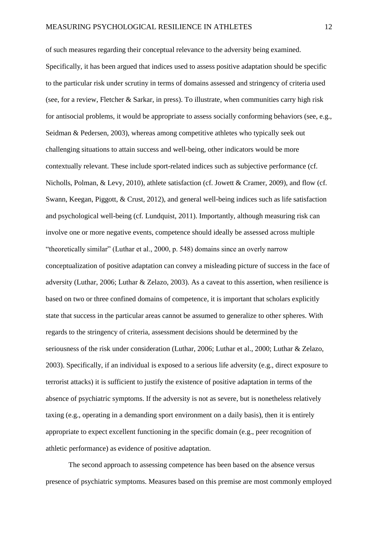of such measures regarding their conceptual relevance to the adversity being examined. Specifically, it has been argued that indices used to assess positive adaptation should be specific to the particular risk under scrutiny in terms of domains assessed and stringency of criteria used (see, for a review, Fletcher & Sarkar, in press). To illustrate, when communities carry high risk for antisocial problems, it would be appropriate to assess socially conforming behaviors (see, e.g., Seidman & Pedersen, 2003), whereas among competitive athletes who typically seek out challenging situations to attain success and well-being, other indicators would be more contextually relevant. These include sport-related indices such as subjective performance (cf. Nicholls, Polman, & Levy, 2010), athlete satisfaction (cf. Jowett & Cramer, 2009), and flow (cf. Swann, Keegan, Piggott, & Crust, 2012), and general well-being indices such as life satisfaction and psychological well-being (cf. Lundquist, 2011). Importantly, although measuring risk can involve one or more negative events, competence should ideally be assessed across multiple "theoretically similar" (Luthar et al., 2000, p. 548) domains since an overly narrow conceptualization of positive adaptation can convey a misleading picture of success in the face of adversity (Luthar, 2006; Luthar & Zelazo, 2003). As a caveat to this assertion, when resilience is based on two or three confined domains of competence, it is important that scholars explicitly state that success in the particular areas cannot be assumed to generalize to other spheres. With regards to the stringency of criteria, assessment decisions should be determined by the seriousness of the risk under consideration (Luthar, 2006; Luthar et al., 2000; Luthar & Zelazo, 2003). Specifically, if an individual is exposed to a serious life adversity (e.g., direct exposure to terrorist attacks) it is sufficient to justify the existence of positive adaptation in terms of the absence of psychiatric symptoms. If the adversity is not as severe, but is nonetheless relatively taxing (e.g., operating in a demanding sport environment on a daily basis), then it is entirely appropriate to expect excellent functioning in the specific domain (e.g., peer recognition of athletic performance) as evidence of positive adaptation.

The second approach to assessing competence has been based on the absence versus presence of psychiatric symptoms. Measures based on this premise are most commonly employed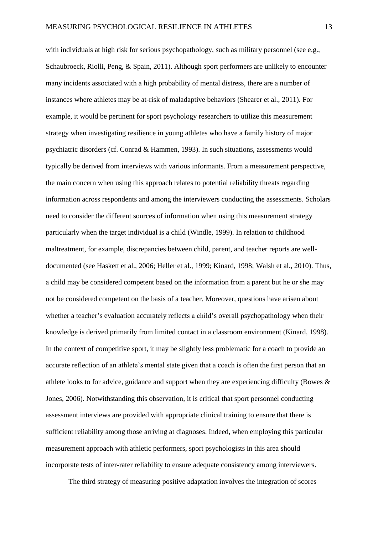with individuals at high risk for serious psychopathology, such as military personnel (see e.g., Schaubroeck, Riolli, Peng, & Spain, 2011). Although sport performers are unlikely to encounter many incidents associated with a high probability of mental distress, there are a number of instances where athletes may be at-risk of maladaptive behaviors (Shearer et al., 2011). For example, it would be pertinent for sport psychology researchers to utilize this measurement strategy when investigating resilience in young athletes who have a family history of major psychiatric disorders (cf. Conrad & Hammen, 1993). In such situations, assessments would typically be derived from interviews with various informants. From a measurement perspective, the main concern when using this approach relates to potential reliability threats regarding information across respondents and among the interviewers conducting the assessments. Scholars need to consider the different sources of information when using this measurement strategy particularly when the target individual is a child (Windle, 1999). In relation to childhood maltreatment, for example, discrepancies between child, parent, and teacher reports are welldocumented (see Haskett et al., 2006; Heller et al., 1999; Kinard, 1998; Walsh et al., 2010). Thus, a child may be considered competent based on the information from a parent but he or she may not be considered competent on the basis of a teacher. Moreover, questions have arisen about whether a teacher's evaluation accurately reflects a child's overall psychopathology when their knowledge is derived primarily from limited contact in a classroom environment (Kinard, 1998). In the context of competitive sport, it may be slightly less problematic for a coach to provide an accurate reflection of an athlete's mental state given that a coach is often the first person that an athlete looks to for advice, guidance and support when they are experiencing difficulty (Bowes & Jones, 2006). Notwithstanding this observation, it is critical that sport personnel conducting assessment interviews are provided with appropriate clinical training to ensure that there is sufficient reliability among those arriving at diagnoses. Indeed, when employing this particular measurement approach with athletic performers, sport psychologists in this area should incorporate tests of inter-rater reliability to ensure adequate consistency among interviewers.

The third strategy of measuring positive adaptation involves the integration of scores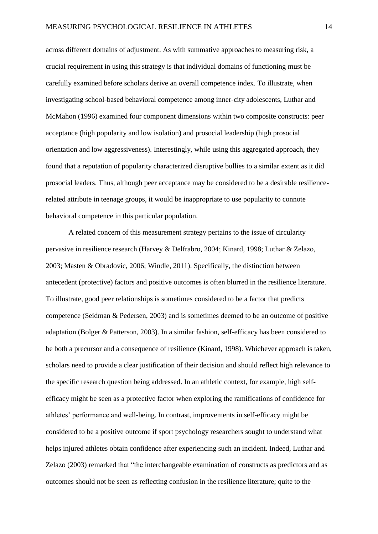across different domains of adjustment. As with summative approaches to measuring risk, a crucial requirement in using this strategy is that individual domains of functioning must be carefully examined before scholars derive an overall competence index. To illustrate, when investigating school-based behavioral competence among inner-city adolescents, Luthar and McMahon (1996) examined four component dimensions within two composite constructs: peer acceptance (high popularity and low isolation) and prosocial leadership (high prosocial orientation and low aggressiveness). Interestingly, while using this aggregated approach, they found that a reputation of popularity characterized disruptive bullies to a similar extent as it did prosocial leaders. Thus, although peer acceptance may be considered to be a desirable resiliencerelated attribute in teenage groups, it would be inappropriate to use popularity to connote behavioral competence in this particular population.

A related concern of this measurement strategy pertains to the issue of circularity pervasive in resilience research (Harvey & Delfrabro, 2004; Kinard, 1998; Luthar & Zelazo, 2003; Masten & Obradovic, 2006; Windle, 2011). Specifically, the distinction between antecedent (protective) factors and positive outcomes is often blurred in the resilience literature. To illustrate, good peer relationships is sometimes considered to be a factor that predicts competence (Seidman & Pedersen, 2003) and is sometimes deemed to be an outcome of positive adaptation (Bolger & Patterson, 2003). In a similar fashion, self-efficacy has been considered to be both a precursor and a consequence of resilience (Kinard, 1998). Whichever approach is taken, scholars need to provide a clear justification of their decision and should reflect high relevance to the specific research question being addressed. In an athletic context, for example, high selfefficacy might be seen as a protective factor when exploring the ramifications of confidence for athletes' performance and well-being. In contrast, improvements in self-efficacy might be considered to be a positive outcome if sport psychology researchers sought to understand what helps injured athletes obtain confidence after experiencing such an incident. Indeed, Luthar and Zelazo (2003) remarked that "the interchangeable examination of constructs as predictors and as outcomes should not be seen as reflecting confusion in the resilience literature; quite to the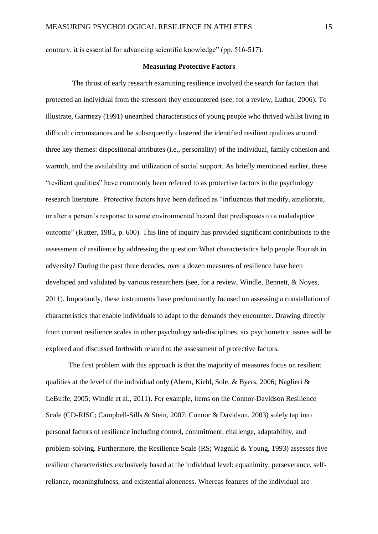contrary, it is essential for advancing scientific knowledge" (pp. 516-517).

# **Measuring Protective Factors**

 The thrust of early research examining resilience involved the search for factors that protected an individual from the stressors they encountered (see, for a review, Luthar, 2006). To illustrate, Garmezy (1991) unearthed characteristics of young people who thrived whilst living in difficult circumstances and he subsequently clustered the identified resilient qualities around three key themes: dispositional attributes (i.e., personality) of the individual, family cohesion and warmth, and the availability and utilization of social support. As briefly mentioned earlier, these "resilient qualities" have commonly been referred to as protective factors in the psychology research literature. Protective factors have been defined as "influences that modify, ameliorate, or alter a person's response to some environmental hazard that predisposes to a maladaptive outcome" (Rutter, 1985, p. 600). This line of inquiry has provided significant contributions to the assessment of resilience by addressing the question: What characteristics help people flourish in adversity? During the past three decades, over a dozen measures of resilience have been developed and validated by various researchers (see, for a review, Windle, Bennett, & Noyes, 2011). Importantly, these instruments have predominantly focused on assessing a constellation of characteristics that enable individuals to adapt to the demands they encounter. Drawing directly from current resilience scales in other psychology sub-disciplines, six psychometric issues will be explored and discussed forthwith related to the assessment of protective factors.

The first problem with this approach is that the majority of measures focus on resilient qualities at the level of the individual only (Ahern, Kiehl, Sole, & Byers, 2006; Naglieri  $\&$ LeBuffe, 2005; Windle et al., 2011). For example, items on the Connor-Davidson Resilience Scale (CD-RISC; Campbell-Sills & Stein, 2007; Connor & Davidson, 2003) solely tap into personal factors of resilience including control, commitment, challenge, adaptability, and problem-solving. Furthermore, the Resilience Scale (RS; Wagnild & Young, 1993) assesses five resilient characteristics exclusively based at the individual level: equanimity, perseverance, selfreliance, meaningfulness, and existential aloneness. Whereas features of the individual are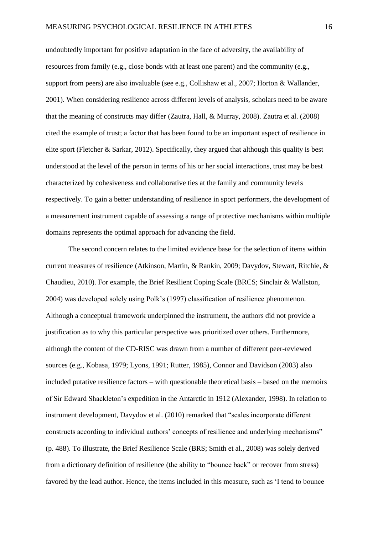undoubtedly important for positive adaptation in the face of adversity, the availability of resources from family (e.g., close bonds with at least one parent) and the community (e.g., support from peers) are also invaluable (see e.g., Collishaw et al., 2007; Horton & Wallander, 2001). When considering resilience across different levels of analysis, scholars need to be aware that the meaning of constructs may differ (Zautra, Hall, & Murray, 2008). Zautra et al. (2008) cited the example of trust; a factor that has been found to be an important aspect of resilience in elite sport (Fletcher & Sarkar, 2012). Specifically, they argued that although this quality is best understood at the level of the person in terms of his or her social interactions, trust may be best characterized by cohesiveness and collaborative ties at the family and community levels respectively. To gain a better understanding of resilience in sport performers, the development of a measurement instrument capable of assessing a range of protective mechanisms within multiple domains represents the optimal approach for advancing the field.

The second concern relates to the limited evidence base for the selection of items within current measures of resilience (Atkinson, Martin, & Rankin, 2009; Davydov, Stewart, Ritchie, & Chaudieu, 2010). For example, the Brief Resilient Coping Scale (BRCS; Sinclair & Wallston, 2004) was developed solely using Polk's (1997) classification of resilience phenomenon. Although a conceptual framework underpinned the instrument, the authors did not provide a justification as to why this particular perspective was prioritized over others. Furthermore, although the content of the CD-RISC was drawn from a number of different peer-reviewed sources (e.g., Kobasa, 1979; Lyons, 1991; Rutter, 1985), Connor and Davidson (2003) also included putative resilience factors – with questionable theoretical basis – based on the memoirs of Sir Edward Shackleton's expedition in the Antarctic in 1912 (Alexander, 1998). In relation to instrument development, Davydov et al. (2010) remarked that "scales incorporate different constructs according to individual authors' concepts of resilience and underlying mechanisms" (p. 488). To illustrate, the Brief Resilience Scale (BRS; Smith et al., 2008) was solely derived from a dictionary definition of resilience (the ability to "bounce back" or recover from stress) favored by the lead author. Hence, the items included in this measure, such as 'I tend to bounce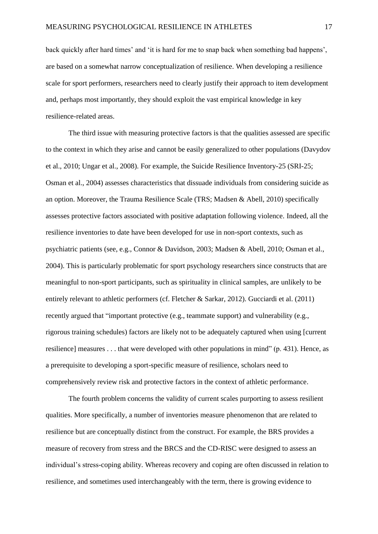back quickly after hard times' and 'it is hard for me to snap back when something bad happens', are based on a somewhat narrow conceptualization of resilience. When developing a resilience scale for sport performers, researchers need to clearly justify their approach to item development and, perhaps most importantly, they should exploit the vast empirical knowledge in key resilience-related areas.

The third issue with measuring protective factors is that the qualities assessed are specific to the context in which they arise and cannot be easily generalized to other populations (Davydov et al., 2010; Ungar et al., 2008). For example, the Suicide Resilience Inventory-25 (SRI-25; Osman et al., 2004) assesses characteristics that dissuade individuals from considering suicide as an option. Moreover, the Trauma Resilience Scale (TRS; Madsen & Abell, 2010) specifically assesses protective factors associated with positive adaptation following violence. Indeed, all the resilience inventories to date have been developed for use in non-sport contexts, such as psychiatric patients (see, e.g., Connor & Davidson, 2003; Madsen & Abell, 2010; Osman et al., 2004). This is particularly problematic for sport psychology researchers since constructs that are meaningful to non-sport participants, such as spirituality in clinical samples, are unlikely to be entirely relevant to athletic performers (cf. Fletcher & Sarkar, 2012). Gucciardi et al. (2011) recently argued that "important protective (e.g., teammate support) and vulnerability (e.g., rigorous training schedules) factors are likely not to be adequately captured when using [current resilience] measures . . . that were developed with other populations in mind" (p. 431). Hence, as a prerequisite to developing a sport-specific measure of resilience, scholars need to comprehensively review risk and protective factors in the context of athletic performance.

The fourth problem concerns the validity of current scales purporting to assess resilient qualities. More specifically, a number of inventories measure phenomenon that are related to resilience but are conceptually distinct from the construct. For example, the BRS provides a measure of recovery from stress and the BRCS and the CD-RISC were designed to assess an individual's stress-coping ability. Whereas recovery and coping are often discussed in relation to resilience, and sometimes used interchangeably with the term, there is growing evidence to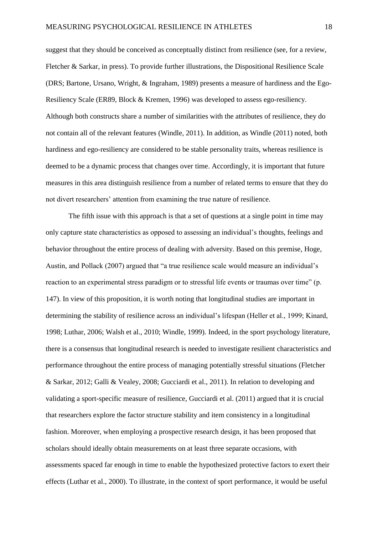suggest that they should be conceived as conceptually distinct from resilience (see, for a review, Fletcher & Sarkar, in press). To provide further illustrations, the Dispositional Resilience Scale (DRS; Bartone, Ursano, Wright, & Ingraham, 1989) presents a measure of hardiness and the Ego-Resiliency Scale (ER89, Block & Kremen, 1996) was developed to assess ego-resiliency. Although both constructs share a number of similarities with the attributes of resilience, they do not contain all of the relevant features (Windle, 2011). In addition, as Windle (2011) noted, both hardiness and ego-resiliency are considered to be stable personality traits, whereas resilience is deemed to be a dynamic process that changes over time. Accordingly, it is important that future measures in this area distinguish resilience from a number of related terms to ensure that they do not divert researchers' attention from examining the true nature of resilience.

The fifth issue with this approach is that a set of questions at a single point in time may only capture state characteristics as opposed to assessing an individual's thoughts, feelings and behavior throughout the entire process of dealing with adversity. Based on this premise, Hoge, Austin, and Pollack (2007) argued that "a true resilience scale would measure an individual's reaction to an experimental stress paradigm or to stressful life events or traumas over time" (p. 147). In view of this proposition, it is worth noting that longitudinal studies are important in determining the stability of resilience across an individual's lifespan (Heller et al., 1999; Kinard, 1998; Luthar, 2006; Walsh et al., 2010; Windle, 1999). Indeed, in the sport psychology literature, there is a consensus that longitudinal research is needed to investigate resilient characteristics and performance throughout the entire process of managing potentially stressful situations (Fletcher & Sarkar, 2012; Galli & Vealey, 2008; Gucciardi et al., 2011). In relation to developing and validating a sport-specific measure of resilience, Gucciardi et al. (2011) argued that it is crucial that researchers explore the factor structure stability and item consistency in a longitudinal fashion. Moreover, when employing a prospective research design, it has been proposed that scholars should ideally obtain measurements on at least three separate occasions, with assessments spaced far enough in time to enable the hypothesized protective factors to exert their effects (Luthar et al., 2000). To illustrate, in the context of sport performance, it would be useful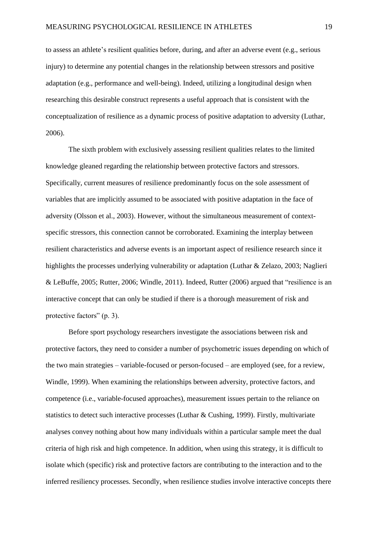to assess an athlete's resilient qualities before, during, and after an adverse event (e.g., serious injury) to determine any potential changes in the relationship between stressors and positive adaptation (e.g., performance and well-being). Indeed, utilizing a longitudinal design when researching this desirable construct represents a useful approach that is consistent with the conceptualization of resilience as a dynamic process of positive adaptation to adversity (Luthar, 2006).

The sixth problem with exclusively assessing resilient qualities relates to the limited knowledge gleaned regarding the relationship between protective factors and stressors. Specifically, current measures of resilience predominantly focus on the sole assessment of variables that are implicitly assumed to be associated with positive adaptation in the face of adversity (Olsson et al., 2003). However, without the simultaneous measurement of contextspecific stressors, this connection cannot be corroborated. Examining the interplay between resilient characteristics and adverse events is an important aspect of resilience research since it highlights the processes underlying vulnerability or adaptation (Luthar & Zelazo, 2003; Naglieri & LeBuffe, 2005; Rutter, 2006; Windle, 2011). Indeed, Rutter (2006) argued that "resilience is an interactive concept that can only be studied if there is a thorough measurement of risk and protective factors" (p. 3).

Before sport psychology researchers investigate the associations between risk and protective factors, they need to consider a number of psychometric issues depending on which of the two main strategies – variable-focused or person-focused – are employed (see, for a review, Windle, 1999). When examining the relationships between adversity, protective factors, and competence (i.e., variable-focused approaches), measurement issues pertain to the reliance on statistics to detect such interactive processes (Luthar & Cushing, 1999). Firstly, multivariate analyses convey nothing about how many individuals within a particular sample meet the dual criteria of high risk and high competence. In addition, when using this strategy, it is difficult to isolate which (specific) risk and protective factors are contributing to the interaction and to the inferred resiliency processes. Secondly, when resilience studies involve interactive concepts there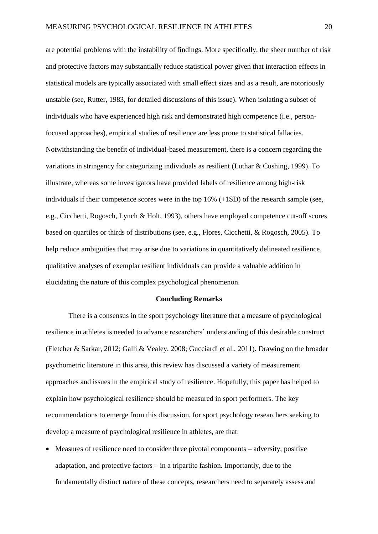are potential problems with the instability of findings. More specifically, the sheer number of risk and protective factors may substantially reduce statistical power given that interaction effects in statistical models are typically associated with small effect sizes and as a result, are notoriously unstable (see, Rutter, 1983, for detailed discussions of this issue). When isolating a subset of individuals who have experienced high risk and demonstrated high competence (i.e., personfocused approaches), empirical studies of resilience are less prone to statistical fallacies. Notwithstanding the benefit of individual-based measurement, there is a concern regarding the variations in stringency for categorizing individuals as resilient (Luthar & Cushing, 1999). To illustrate, whereas some investigators have provided labels of resilience among high-risk individuals if their competence scores were in the top 16% (+1SD) of the research sample (see, e.g., Cicchetti, Rogosch, Lynch & Holt, 1993), others have employed competence cut-off scores based on quartiles or thirds of distributions (see, e.g., Flores, Cicchetti, & Rogosch, 2005). To help reduce ambiguities that may arise due to variations in quantitatively delineated resilience, qualitative analyses of exemplar resilient individuals can provide a valuable addition in elucidating the nature of this complex psychological phenomenon.

### **Concluding Remarks**

There is a consensus in the sport psychology literature that a measure of psychological resilience in athletes is needed to advance researchers' understanding of this desirable construct (Fletcher & Sarkar, 2012; Galli & Vealey, 2008; Gucciardi et al., 2011). Drawing on the broader psychometric literature in this area, this review has discussed a variety of measurement approaches and issues in the empirical study of resilience. Hopefully, this paper has helped to explain how psychological resilience should be measured in sport performers. The key recommendations to emerge from this discussion, for sport psychology researchers seeking to develop a measure of psychological resilience in athletes, are that:

 Measures of resilience need to consider three pivotal components – adversity, positive adaptation, and protective factors – in a tripartite fashion. Importantly, due to the fundamentally distinct nature of these concepts, researchers need to separately assess and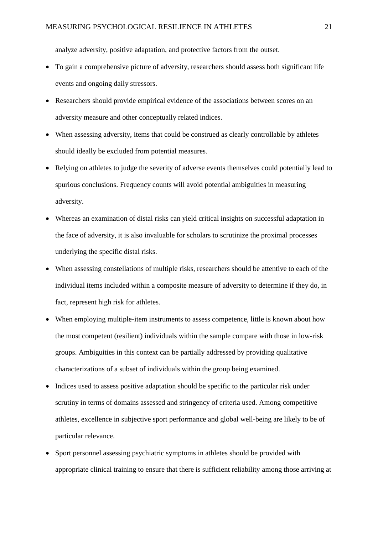analyze adversity, positive adaptation, and protective factors from the outset.

- To gain a comprehensive picture of adversity, researchers should assess both significant life events and ongoing daily stressors.
- Researchers should provide empirical evidence of the associations between scores on an adversity measure and other conceptually related indices.
- When assessing adversity, items that could be construed as clearly controllable by athletes should ideally be excluded from potential measures.
- Relying on athletes to judge the severity of adverse events themselves could potentially lead to spurious conclusions. Frequency counts will avoid potential ambiguities in measuring adversity.
- Whereas an examination of distal risks can yield critical insights on successful adaptation in the face of adversity, it is also invaluable for scholars to scrutinize the proximal processes underlying the specific distal risks.
- When assessing constellations of multiple risks, researchers should be attentive to each of the individual items included within a composite measure of adversity to determine if they do, in fact, represent high risk for athletes.
- When employing multiple-item instruments to assess competence, little is known about how the most competent (resilient) individuals within the sample compare with those in low-risk groups. Ambiguities in this context can be partially addressed by providing qualitative characterizations of a subset of individuals within the group being examined.
- Indices used to assess positive adaptation should be specific to the particular risk under scrutiny in terms of domains assessed and stringency of criteria used. Among competitive athletes, excellence in subjective sport performance and global well-being are likely to be of particular relevance.
- Sport personnel assessing psychiatric symptoms in athletes should be provided with appropriate clinical training to ensure that there is sufficient reliability among those arriving at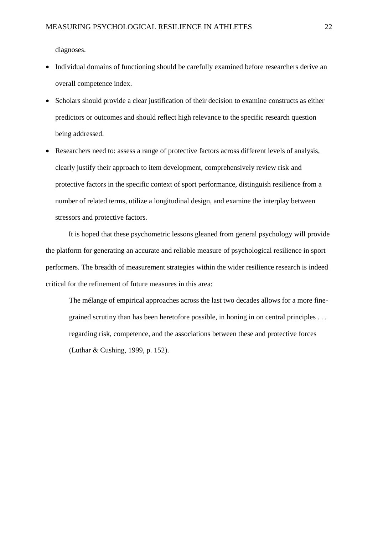diagnoses.

- Individual domains of functioning should be carefully examined before researchers derive an overall competence index.
- Scholars should provide a clear justification of their decision to examine constructs as either predictors or outcomes and should reflect high relevance to the specific research question being addressed.
- Researchers need to: assess a range of protective factors across different levels of analysis, clearly justify their approach to item development, comprehensively review risk and protective factors in the specific context of sport performance, distinguish resilience from a number of related terms, utilize a longitudinal design, and examine the interplay between stressors and protective factors.

It is hoped that these psychometric lessons gleaned from general psychology will provide the platform for generating an accurate and reliable measure of psychological resilience in sport performers. The breadth of measurement strategies within the wider resilience research is indeed critical for the refinement of future measures in this area:

The mélange of empirical approaches across the last two decades allows for a more finegrained scrutiny than has been heretofore possible, in honing in on central principles . . . regarding risk, competence, and the associations between these and protective forces (Luthar & Cushing, 1999, p. 152).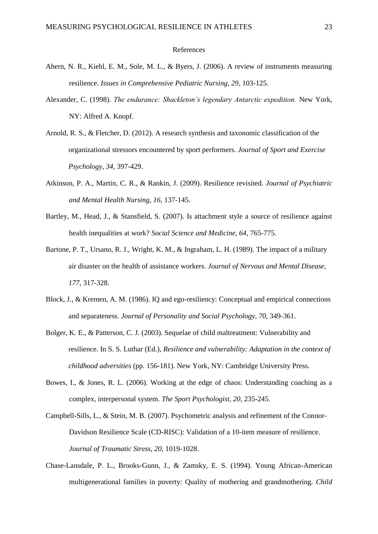#### References

- Ahern, N. R., Kiehl, E. M., Sole, M. L., & Byers, J. (2006). A review of instruments measuring resilience. *Issues in Comprehensive Pediatric Nursing, 29,* 103-125.
- Alexander, C. (1998). *The endurance: Shackleton's legendary Antarctic expedition.* New York, NY: Alfred A. Knopf.
- Arnold, R. S., & Fletcher, D. (2012). A research synthesis and taxonomic classification of the organizational stressors encountered by sport performers. *Journal of Sport and Exercise Psychology, 34,* 397-429.
- Atkinson, P. A., Martin, C. R., & Rankin, J. (2009). Resilience revisited. *Journal of Psychiatric and Mental Health Nursing, 16,* 137-145.
- Bartley, M., Head, J., & Stansfield, S. (2007). Is attachment style a source of resilience against health inequalities at work? *Social Science and Medicine, 64,* 765-775.
- Bartone, P. T., Ursano, R. J., Wright, K. M., & Ingraham, L. H. (1989). The impact of a military air disaster on the health of assistance workers. *Journal of Nervous and Mental Disease, 177,* 317-328.
- Block, J., & Kremen, A. M. (1986). IQ and ego-resiliency: Conceptual and empirical connections and separateness. *Journal of Personality and Social Psychology, 70,* 349-361.
- Bolger, K. E., & Patterson, C. J. (2003). Sequelae of child maltreatment: Vulnerability and resilience. In S. S. Luthar (Ed.), *Resilience and vulnerability: Adaptation in the context of childhood adversities* (pp. 156-181). New York, NY: Cambridge University Press.
- Bowes, I., & Jones, R. L. (2006). Working at the edge of chaos: Understanding coaching as a complex, interpersonal system. *The Sport Psychologist, 20,* 235-245.
- Campbell-Sills, L., & Stein, M. B. (2007). Psychometric analysis and refinement of the Connor-Davidson Resilience Scale (CD-RISC): Validation of a 10-item measure of resilience. *Journal of Traumatic Stress, 20,* 1019-1028.
- Chase-Lansdale, P. L., Brooks-Gunn, J., & Zamsky, E. S. (1994). Young African-American multigenerational families in poverty: Quality of mothering and grandmothering. *Child*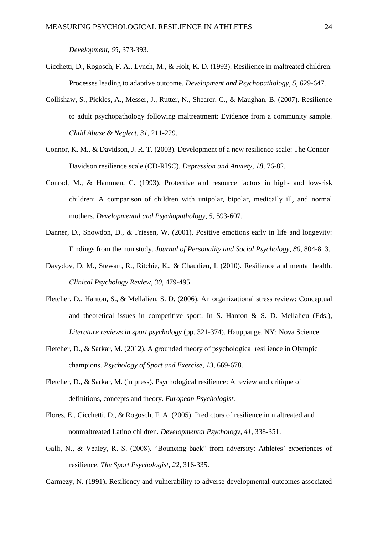*Development, 65,* 373-393.

- Cicchetti, D., Rogosch, F. A., Lynch, M., & Holt, K. D. (1993). Resilience in maltreated children: Processes leading to adaptive outcome. *Development and Psychopathology, 5,* 629-647.
- Collishaw, S., Pickles, A., Messer, J., Rutter, N., Shearer, C., & Maughan, B. (2007). Resilience to adult psychopathology following maltreatment: Evidence from a community sample. *Child Abuse & Neglect, 31,* 211-229.
- Connor, K. M., & Davidson, J. R. T. (2003). Development of a new resilience scale: The Connor-Davidson resilience scale (CD-RISC). *Depression and Anxiety, 18,* 76-82.
- Conrad, M., & Hammen, C. (1993). Protective and resource factors in high- and low-risk children: A comparison of children with unipolar, bipolar, medically ill, and normal mothers. *Developmental and Psychopathology, 5,* 593-607.
- Danner, D., Snowdon, D., & Friesen, W. (2001). Positive emotions early in life and longevity: Findings from the nun study. *Journal of Personality and Social Psychology, 80,* 804-813.
- Davydov, D. M., Stewart, R., Ritchie, K., & Chaudieu, I. (2010). Resilience and mental health. *Clinical Psychology Review, 30,* 479-495.
- Fletcher, D., Hanton, S., & Mellalieu, S. D. (2006). An organizational stress review: Conceptual and theoretical issues in competitive sport. In S. Hanton  $\&$  S. D. Mellalieu (Eds.), *Literature reviews in sport psychology* (pp. 321-374). Hauppauge, NY: Nova Science.
- Fletcher, D., & Sarkar, M. (2012). A grounded theory of psychological resilience in Olympic champions. *Psychology of Sport and Exercise*, *13,* 669-678.
- Fletcher, D., & Sarkar, M. (in press). Psychological resilience: A review and critique of definitions, concepts and theory. *European Psychologist*.
- Flores, E., Cicchetti, D., & Rogosch, F. A. (2005). Predictors of resilience in maltreated and nonmaltreated Latino children. *Developmental Psychology, 41,* 338-351.
- Galli, N., & Vealey, R. S. (2008). "Bouncing back" from adversity: Athletes' experiences of resilience. *The Sport Psychologist, 22,* 316-335.

Garmezy, N. (1991). Resiliency and vulnerability to adverse developmental outcomes associated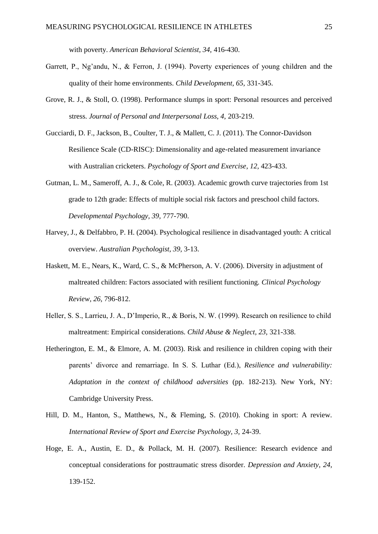with poverty. *American Behavioral Scientist, 34,* 416-430.

- Garrett, P., Ng'andu, N., & Ferron, J. (1994). Poverty experiences of young children and the quality of their home environments. *Child Development, 65,* 331-345.
- Grove, R. J., & Stoll, O. (1998). Performance slumps in sport: Personal resources and perceived stress. *Journal of Personal and Interpersonal Loss, 4,* 203-219.
- Gucciardi, D. F., Jackson, B., Coulter, T. J., & Mallett, C. J. (2011). The Connor-Davidson Resilience Scale (CD-RISC): Dimensionality and age-related measurement invariance with Australian cricketers. *Psychology of Sport and Exercise, 12,* 423-433.
- Gutman, L. M., Sameroff, A. J., & Cole, R. (2003). Academic growth curve trajectories from 1st grade to 12th grade: Effects of multiple social risk factors and preschool child factors. *Developmental Psychology, 39,* 777-790.
- Harvey, J., & Delfabbro, P. H. (2004). Psychological resilience in disadvantaged youth: A critical overview. *Australian Psychologist, 39,* 3-13.
- Haskett, M. E., Nears, K., Ward, C. S., & McPherson, A. V. (2006). Diversity in adjustment of maltreated children: Factors associated with resilient functioning. *Clinical Psychology Review, 26,* 796-812.
- Heller, S. S., Larrieu, J. A., D'Imperio, R., & Boris, N. W. (1999). Research on resilience to child maltreatment: Empirical considerations. *Child Abuse & Neglect, 23,* 321-338.
- Hetherington, E. M., & Elmore, A. M. (2003). Risk and resilience in children coping with their parents' divorce and remarriage. In S. S. Luthar (Ed.), *Resilience and vulnerability: Adaptation in the context of childhood adversities* (pp. 182-213). New York, NY: Cambridge University Press.
- Hill, D. M., Hanton, S., Matthews, N., & Fleming, S. (2010). Choking in sport: A review. *International Review of Sport and Exercise Psychology, 3,* 24-39.
- Hoge, E. A., Austin, E. D., & Pollack, M. H. (2007). Resilience: Research evidence and conceptual considerations for posttraumatic stress disorder. *Depression and Anxiety, 24,*  139-152.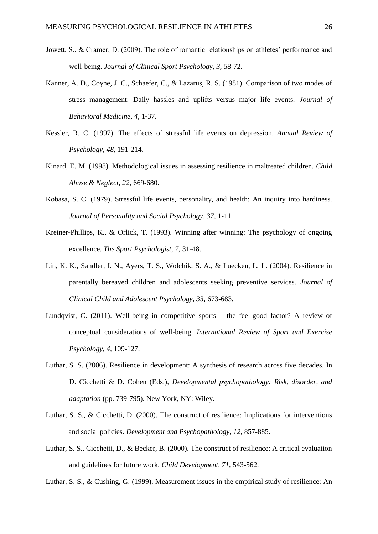- Jowett, S., & Cramer, D. (2009). The role of romantic relationships on athletes' performance and well-being. *Journal of Clinical Sport Psychology, 3,* 58-72.
- Kanner, A. D., Coyne, J. C., Schaefer, C., & Lazarus, R. S. (1981). Comparison of two modes of stress management: Daily hassles and uplifts versus major life events. *Journal of Behavioral Medicine, 4,* 1-37.
- Kessler, R. C. (1997). The effects of stressful life events on depression. *Annual Review of Psychology, 48,* 191-214.
- Kinard, E. M. (1998). Methodological issues in assessing resilience in maltreated children. *Child Abuse & Neglect, 22,* 669-680.
- Kobasa, S. C. (1979). Stressful life events, personality, and health: An inquiry into hardiness. *Journal of Personality and Social Psychology, 37,* 1-11.
- Kreiner-Phillips, K., & Orlick, T. (1993). Winning after winning: The psychology of ongoing excellence. *The Sport Psychologist, 7,* 31-48.
- Lin, K. K., Sandler, I. N., Ayers, T. S., Wolchik, S. A., & Luecken, L. L. (2004). Resilience in parentally bereaved children and adolescents seeking preventive services. *Journal of Clinical Child and Adolescent Psychology, 33,* 673-683.
- Lundqvist, C. (2011). Well-being in competitive sports the feel-good factor? A review of conceptual considerations of well-being. *International Review of Sport and Exercise Psychology, 4,* 109-127.
- Luthar, S. S. (2006). Resilience in development: A synthesis of research across five decades. In D. Cicchetti & D. Cohen (Eds.), *Developmental psychopathology: Risk, disorder, and adaptation* (pp. 739-795). New York, NY: Wiley.
- Luthar, S. S., & Cicchetti, D. (2000). The construct of resilience: Implications for interventions and social policies. *Development and Psychopathology, 12,* 857-885.
- Luthar, S. S., Cicchetti, D., & Becker, B. (2000). The construct of resilience: A critical evaluation and guidelines for future work. *Child Development, 71,* 543-562.
- Luthar, S. S., & Cushing, G. (1999). Measurement issues in the empirical study of resilience: An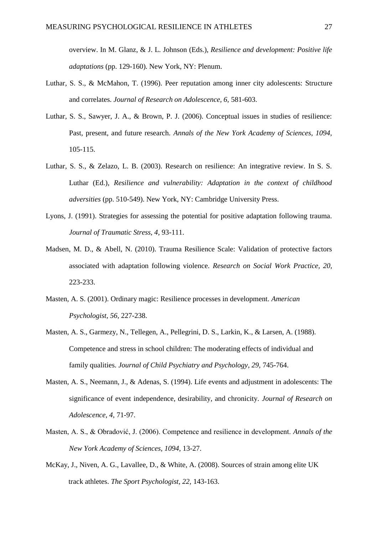overview. In M. Glanz, & J. L. Johnson (Eds.), *Resilience and development: Positive life adaptations* (pp. 129-160). New York, NY: Plenum.

- Luthar, S. S., & McMahon, T. (1996). Peer reputation among inner city adolescents: Structure and correlates. *Journal of Research on Adolescence, 6,* 581-603.
- Luthar, S. S., Sawyer, J. A., & Brown, P. J. (2006). Conceptual issues in studies of resilience: Past, present, and future research. *Annals of the New York Academy of Sciences, 1094,*  105-115.
- Luthar, S. S., & Zelazo, L. B. (2003). Research on resilience: An integrative review. In S. S. Luthar (Ed.), *Resilience and vulnerability: Adaptation in the context of childhood adversities* (pp. 510-549). New York, NY: Cambridge University Press.
- Lyons, J. (1991). Strategies for assessing the potential for positive adaptation following trauma. *Journal of Traumatic Stress, 4,* 93-111.
- Madsen, M. D., & Abell, N. (2010). Trauma Resilience Scale: Validation of protective factors associated with adaptation following violence. *Research on Social Work Practice, 20,*  223-233.
- Masten, A. S. (2001). Ordinary magic: Resilience processes in development. *American Psychologist, 56,* 227-238.
- Masten, A. S., Garmezy, N., Tellegen, A., Pellegrini, D. S., Larkin, K., & Larsen, A. (1988). Competence and stress in school children: The moderating effects of individual and family qualities. *Journal of Child Psychiatry and Psychology, 29, 745-764.*
- Masten, A. S., Neemann, J., & Adenas, S. (1994). Life events and adjustment in adolescents: The significance of event independence, desirability, and chronicity. *Journal of Research on Adolescence, 4,* 71-97.
- Masten, A. S., & Obradović, J. (2006). Competence and resilience in development. *Annals of the New York Academy of Sciences, 1094,* 13-27.
- McKay, J., Niven, A. G., Lavallee, D., & White, A. (2008). Sources of strain among elite UK track athletes. *The Sport Psychologist, 22,* 143-163.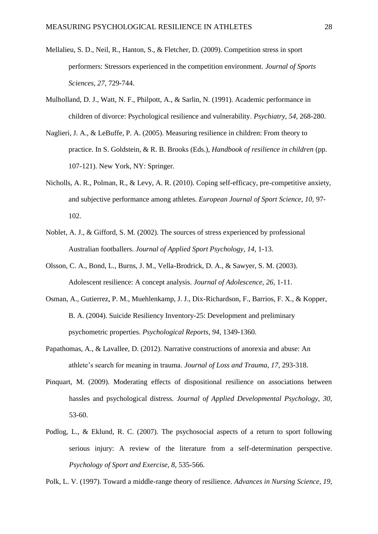- Mellalieu, S. D., Neil, R., Hanton, S., & Fletcher, D. (2009). Competition stress in sport performers: Stressors experienced in the competition environment. *Journal of Sports Sciences, 27,* 729-744.
- Mulholland, D. J., Watt, N. F., Philpott, A., & Sarlin, N. (1991). Academic performance in children of divorce: Psychological resilience and vulnerability. *Psychiatry, 54,* 268-280.
- Naglieri, J. A., & LeBuffe, P. A. (2005). Measuring resilience in children: From theory to practice. In S. Goldstein, & R. B. Brooks (Eds.), *Handbook of resilience in children* (pp. 107-121). New York, NY: Springer.
- Nicholls, A. R., Polman, R., & Levy, A. R. (2010). Coping self-efficacy, pre-competitive anxiety, and subjective performance among athletes. *European Journal of Sport Science, 10,* 97- 102.
- Noblet, A. J., & Gifford, S. M. (2002). The sources of stress experienced by professional Australian footballers. *Journal of Applied Sport Psychology, 14,* 1-13.
- Olsson, C. A., Bond, L., Burns, J. M., Vella-Brodrick, D. A., & Sawyer, S. M. (2003). Adolescent resilience: A concept analysis. *Journal of Adolescence, 26,* 1-11.
- Osman, A., Gutierrez, P. M., Muehlenkamp, J. J., Dix-Richardson, F., Barrios, F. X., & Kopper, B. A. (2004). Suicide Resiliency Inventory-25: Development and preliminary psychometric properties. *Psychological Reports, 94,* 1349-1360.
- Papathomas, A., & Lavallee, D. (2012). Narrative constructions of anorexia and abuse: An athlete's search for meaning in trauma. *Journal of Loss and Trauma, 17,* 293-318.
- Pinquart, M. (2009). Moderating effects of dispositional resilience on associations between hassles and psychological distress. *Journal of Applied Developmental Psychology, 30,*  53-60.
- Podlog, L., & Eklund, R. C. (2007). The psychosocial aspects of a return to sport following serious injury: A review of the literature from a self-determination perspective. *Psychology of Sport and Exercise, 8,* 535-566.

Polk, L. V. (1997). Toward a middle-range theory of resilience. *Advances in Nursing Science, 19,*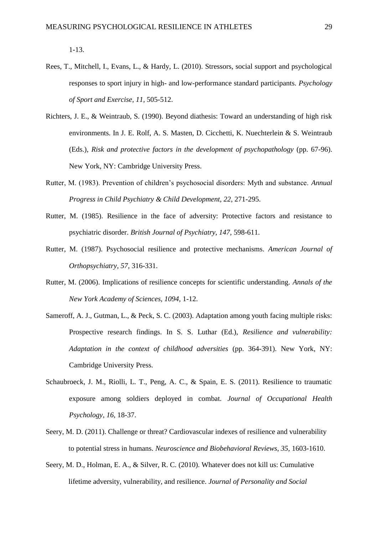1-13.

- Rees, T., Mitchell, I., Evans, L., & Hardy, L. (2010). Stressors, social support and psychological responses to sport injury in high- and low-performance standard participants. *Psychology of Sport and Exercise, 11,* 505-512.
- Richters, J. E., & Weintraub, S. (1990). Beyond diathesis: Toward an understanding of high risk environments. In J. E. Rolf, A. S. Masten, D. Cicchetti, K. Nuechterlein & S. Weintraub (Eds.), *Risk and protective factors in the development of psychopathology* (pp. 67-96). New York, NY: Cambridge University Press.
- Rutter, M. (1983). Prevention of children's psychosocial disorders: Myth and substance. *Annual Progress in Child Psychiatry & Child Development, 22,* 271-295.
- Rutter, M. (1985). Resilience in the face of adversity: Protective factors and resistance to psychiatric disorder. *British Journal of Psychiatry, 147,* 598-611.
- Rutter, M. (1987). Psychosocial resilience and protective mechanisms. *American Journal of Orthopsychiatry, 57,* 316-331.
- Rutter, M. (2006). Implications of resilience concepts for scientific understanding. *Annals of the New York Academy of Sciences, 1094,* 1-12.
- Sameroff, A. J., Gutman, L., & Peck, S. C. (2003). Adaptation among youth facing multiple risks: Prospective research findings. In S. S. Luthar (Ed.), *Resilience and vulnerability: Adaptation in the context of childhood adversities* (pp. 364-391). New York, NY: Cambridge University Press.
- Schaubroeck, J. M., Riolli, L. T., Peng, A. C., & Spain, E. S. (2011). Resilience to traumatic exposure among soldiers deployed in combat. *Journal of Occupational Health Psychology, 16,* 18-37.
- Seery, M. D. (2011). Challenge or threat? Cardiovascular indexes of resilience and vulnerability to potential stress in humans. *Neuroscience and Biobehavioral Reviews, 35,* 1603-1610.
- Seery, M. D., Holman, E. A., & Silver, R. C. (2010). Whatever does not kill us: Cumulative lifetime adversity, vulnerability, and resilience. *Journal of Personality and Social*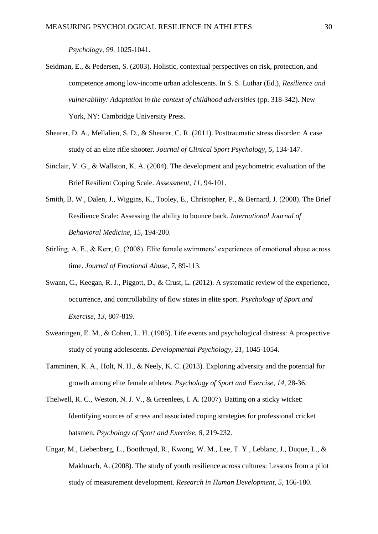*Psychology, 99,* 1025-1041.

- Seidman, E., & Pedersen, S. (2003). Holistic, contextual perspectives on risk, protection, and competence among low-income urban adolescents. In S. S. Luthar (Ed.), *Resilience and vulnerability: Adaptation in the context of childhood adversities* (pp. 318-342). New York, NY: Cambridge University Press.
- Shearer, D. A., Mellalieu, S. D., & Shearer, C. R. (2011). Posttraumatic stress disorder: A case study of an elite rifle shooter. *Journal of Clinical Sport Psychology, 5,* 134-147.
- Sinclair, V. G., & Wallston, K. A. (2004). The development and psychometric evaluation of the Brief Resilient Coping Scale. *Assessment, 11,* 94-101.
- Smith, B. W., Dalen, J., Wiggins, K., Tooley, E., Christopher, P., & Bernard, J. (2008). The Brief Resilience Scale: Assessing the ability to bounce back. *International Journal of Behavioral Medicine, 15,* 194-200.
- Stirling, A. E., & Kerr, G. (2008). Elite female swimmers' experiences of emotional abuse across time. *Journal of Emotional Abuse, 7,* 89-113.
- Swann, C., Keegan, R. J., Piggott, D., & Crust, L. (2012). A systematic review of the experience, occurrence, and controllability of flow states in elite sport. *Psychology of Sport and Exercise, 13,* 807-819.
- Swearingen, E. M., & Cohen, L. H. (1985). Life events and psychological distress: A prospective study of young adolescents. *Developmental Psychology, 21,* 1045-1054.
- Tamminen, K. A., Holt, N. H., & Neely, K. C. (2013). Exploring adversity and the potential for growth among elite female athletes. *Psychology of Sport and Exercise, 14,* 28-36.
- Thelwell, R. C., Weston, N. J. V., & Greenlees, I. A. (2007). Batting on a sticky wicket: Identifying sources of stress and associated coping strategies for professional cricket batsmen. *Psychology of Sport and Exercise, 8,* 219-232.
- Ungar, M., Liebenberg, L., Boothroyd, R., Kwong, W. M., Lee, T. Y., Leblanc, J., Duque, L., & Makhnach, A. (2008). The study of youth resilience across cultures: Lessons from a pilot study of measurement development. *Research in Human Development, 5,* 166-180.